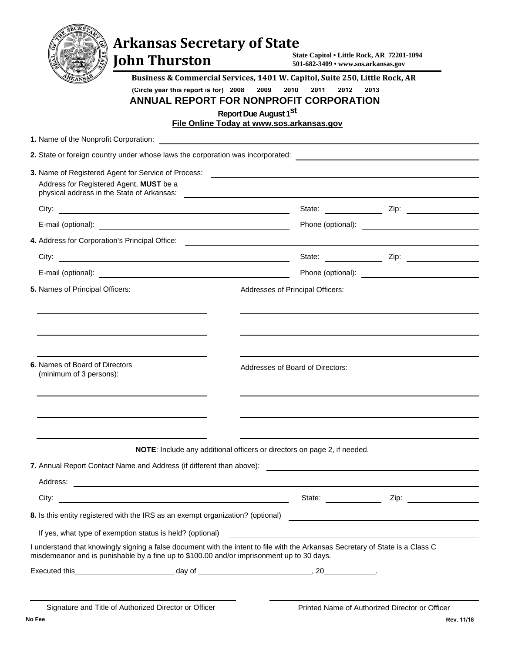| Business & Commercial Services, 1401 W. Capitol, Suite 250, Little Rock, AR<br>(Circle year this report is for) 2008<br>2009<br>2011<br>2010<br>2012<br>2013<br><b>ANNUAL REPORT FOR NONPROFIT CORPORATION</b><br>Report Due August 1 <sup>St</sup><br>File Online Today at www.sos.arkansas.gov<br>2. State or foreign country under whose laws the corporation was incorporated:<br>and the corporated:<br>Address for Registered Agent, MUST be a<br><u> 1989 - John Harry Harry Harry Harry Harry Harry Harry Harry Harry Harry Harry Harry Harry Harry Harry Harry</u><br>City:<br>E-mail (optional): example and a series of the series of the series of the series of the series of the series of the series of the series of the series of the series of the series of the series of the series of the series<br>5. Names of Principal Officers:<br>Addresses of Principal Officers:<br>6. Names of Board of Directors<br>Addresses of Board of Directors:<br>(minimum of 3 persons):<br>NOTE: Include any additional officers or directors on page 2, if needed.<br><u> 1989 - Johann Barbara, martin amerikan basal dan berasal dan berasal dalam basal dalam basal dalam basal dala</u><br>State: <u>Contract Zip:</u> Zip:<br>City:<br>If yes, what type of exemption status is held? (optional) The manufacture of the state of exemption status is held? (optional)<br>I understand that knowingly signing a false document with the intent to file with the Arkansas Secretary of State is a Class C<br>misdemeanor and is punishable by a fine up to \$100.00 and/or imprisonment up to 30 days. | Arkansas Secretary of State<br>John Thurston | State Capitol . Little Rock, AR 72201-1094<br>State Capitol • Little Rock, AR  72201<br>501-682-3409 • www.sos.arkansas.gov |
|------------------------------------------------------------------------------------------------------------------------------------------------------------------------------------------------------------------------------------------------------------------------------------------------------------------------------------------------------------------------------------------------------------------------------------------------------------------------------------------------------------------------------------------------------------------------------------------------------------------------------------------------------------------------------------------------------------------------------------------------------------------------------------------------------------------------------------------------------------------------------------------------------------------------------------------------------------------------------------------------------------------------------------------------------------------------------------------------------------------------------------------------------------------------------------------------------------------------------------------------------------------------------------------------------------------------------------------------------------------------------------------------------------------------------------------------------------------------------------------------------------------------------------------------------------------------------------------------------------------|----------------------------------------------|-----------------------------------------------------------------------------------------------------------------------------|
|                                                                                                                                                                                                                                                                                                                                                                                                                                                                                                                                                                                                                                                                                                                                                                                                                                                                                                                                                                                                                                                                                                                                                                                                                                                                                                                                                                                                                                                                                                                                                                                                                  |                                              |                                                                                                                             |
|                                                                                                                                                                                                                                                                                                                                                                                                                                                                                                                                                                                                                                                                                                                                                                                                                                                                                                                                                                                                                                                                                                                                                                                                                                                                                                                                                                                                                                                                                                                                                                                                                  |                                              |                                                                                                                             |
|                                                                                                                                                                                                                                                                                                                                                                                                                                                                                                                                                                                                                                                                                                                                                                                                                                                                                                                                                                                                                                                                                                                                                                                                                                                                                                                                                                                                                                                                                                                                                                                                                  |                                              |                                                                                                                             |
|                                                                                                                                                                                                                                                                                                                                                                                                                                                                                                                                                                                                                                                                                                                                                                                                                                                                                                                                                                                                                                                                                                                                                                                                                                                                                                                                                                                                                                                                                                                                                                                                                  |                                              |                                                                                                                             |
|                                                                                                                                                                                                                                                                                                                                                                                                                                                                                                                                                                                                                                                                                                                                                                                                                                                                                                                                                                                                                                                                                                                                                                                                                                                                                                                                                                                                                                                                                                                                                                                                                  |                                              |                                                                                                                             |
|                                                                                                                                                                                                                                                                                                                                                                                                                                                                                                                                                                                                                                                                                                                                                                                                                                                                                                                                                                                                                                                                                                                                                                                                                                                                                                                                                                                                                                                                                                                                                                                                                  |                                              |                                                                                                                             |
|                                                                                                                                                                                                                                                                                                                                                                                                                                                                                                                                                                                                                                                                                                                                                                                                                                                                                                                                                                                                                                                                                                                                                                                                                                                                                                                                                                                                                                                                                                                                                                                                                  |                                              |                                                                                                                             |
|                                                                                                                                                                                                                                                                                                                                                                                                                                                                                                                                                                                                                                                                                                                                                                                                                                                                                                                                                                                                                                                                                                                                                                                                                                                                                                                                                                                                                                                                                                                                                                                                                  |                                              |                                                                                                                             |
|                                                                                                                                                                                                                                                                                                                                                                                                                                                                                                                                                                                                                                                                                                                                                                                                                                                                                                                                                                                                                                                                                                                                                                                                                                                                                                                                                                                                                                                                                                                                                                                                                  |                                              |                                                                                                                             |
|                                                                                                                                                                                                                                                                                                                                                                                                                                                                                                                                                                                                                                                                                                                                                                                                                                                                                                                                                                                                                                                                                                                                                                                                                                                                                                                                                                                                                                                                                                                                                                                                                  |                                              |                                                                                                                             |
|                                                                                                                                                                                                                                                                                                                                                                                                                                                                                                                                                                                                                                                                                                                                                                                                                                                                                                                                                                                                                                                                                                                                                                                                                                                                                                                                                                                                                                                                                                                                                                                                                  |                                              | State: <u>Zip: Zip:</u>                                                                                                     |
|                                                                                                                                                                                                                                                                                                                                                                                                                                                                                                                                                                                                                                                                                                                                                                                                                                                                                                                                                                                                                                                                                                                                                                                                                                                                                                                                                                                                                                                                                                                                                                                                                  |                                              |                                                                                                                             |
|                                                                                                                                                                                                                                                                                                                                                                                                                                                                                                                                                                                                                                                                                                                                                                                                                                                                                                                                                                                                                                                                                                                                                                                                                                                                                                                                                                                                                                                                                                                                                                                                                  |                                              |                                                                                                                             |
|                                                                                                                                                                                                                                                                                                                                                                                                                                                                                                                                                                                                                                                                                                                                                                                                                                                                                                                                                                                                                                                                                                                                                                                                                                                                                                                                                                                                                                                                                                                                                                                                                  |                                              |                                                                                                                             |
|                                                                                                                                                                                                                                                                                                                                                                                                                                                                                                                                                                                                                                                                                                                                                                                                                                                                                                                                                                                                                                                                                                                                                                                                                                                                                                                                                                                                                                                                                                                                                                                                                  |                                              |                                                                                                                             |
|                                                                                                                                                                                                                                                                                                                                                                                                                                                                                                                                                                                                                                                                                                                                                                                                                                                                                                                                                                                                                                                                                                                                                                                                                                                                                                                                                                                                                                                                                                                                                                                                                  |                                              |                                                                                                                             |
|                                                                                                                                                                                                                                                                                                                                                                                                                                                                                                                                                                                                                                                                                                                                                                                                                                                                                                                                                                                                                                                                                                                                                                                                                                                                                                                                                                                                                                                                                                                                                                                                                  |                                              |                                                                                                                             |
|                                                                                                                                                                                                                                                                                                                                                                                                                                                                                                                                                                                                                                                                                                                                                                                                                                                                                                                                                                                                                                                                                                                                                                                                                                                                                                                                                                                                                                                                                                                                                                                                                  |                                              |                                                                                                                             |
|                                                                                                                                                                                                                                                                                                                                                                                                                                                                                                                                                                                                                                                                                                                                                                                                                                                                                                                                                                                                                                                                                                                                                                                                                                                                                                                                                                                                                                                                                                                                                                                                                  |                                              |                                                                                                                             |
|                                                                                                                                                                                                                                                                                                                                                                                                                                                                                                                                                                                                                                                                                                                                                                                                                                                                                                                                                                                                                                                                                                                                                                                                                                                                                                                                                                                                                                                                                                                                                                                                                  |                                              |                                                                                                                             |
|                                                                                                                                                                                                                                                                                                                                                                                                                                                                                                                                                                                                                                                                                                                                                                                                                                                                                                                                                                                                                                                                                                                                                                                                                                                                                                                                                                                                                                                                                                                                                                                                                  |                                              |                                                                                                                             |
|                                                                                                                                                                                                                                                                                                                                                                                                                                                                                                                                                                                                                                                                                                                                                                                                                                                                                                                                                                                                                                                                                                                                                                                                                                                                                                                                                                                                                                                                                                                                                                                                                  |                                              |                                                                                                                             |